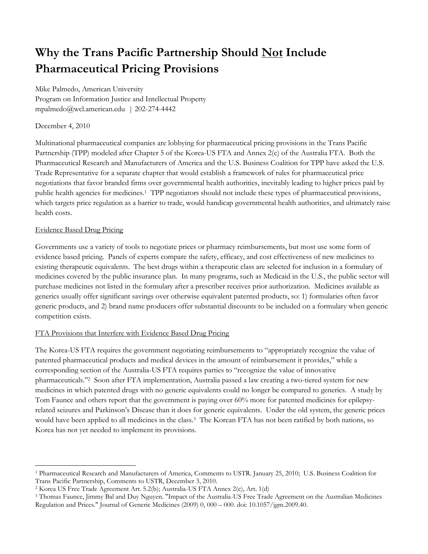# **Why the Trans Pacific Partnership Should Not Include Pharmaceutical Pricing Provisions**

Mike Palmedo, American University Program on Information Justice and Intellectual Property mpalmedo@wcl.american.edu | 202-274-4442

## December 4, 2010

Multinational pharmaceutical companies are lobbying for pharmaceutical pricing provisions in the Trans Pacific Partnership (TPP) modeled after Chapter 5 of the Korea-US FTA and Annex 2(c) of the Australia FTA. Both the Pharmaceutical Research and Manufacturers of America and the U.S. Business Coalition for TPP have asked the U.S. Trade Representative for a separate chapter that would establish a framework of rules for pharmaceutical price negotiations that favor branded firms over governmental health authorities, inevitably leading to higher prices paid by public health agencies for medicines. <sup>1</sup> TPP negotiators should not include these types of pharmaceutical provisions, which targets price regulation as a barrier to trade, would handicap governmental health authorities, and ultimately raise health costs.

## Evidence Based Drug Pricing

Governments use a variety of tools to negotiate prices or pharmacy reimbursements, but most use some form of evidence based pricing. Panels of experts compare the safety, efficacy, and cost effectiveness of new medicines to existing therapeutic equivalents. The best drugs within a therapeutic class are selected for inclusion in a formulary of medicines covered by the public insurance plan. In many programs, such as Medicaid in the U.S., the public sector will purchase medicines not listed in the formulary after a prescriber receives prior authorization. Medicines available as generics usually offer significant savings over otherwise equivalent patented products, so: 1) formularies often favor generic products, and 2) brand name producers offer substantial discounts to be included on a formulary when generic competition exists.

## FTA Provisions that Interfere with Evidence Based Drug Pricing

The Korea-US FTA requires the government negotiating reimbursements to "appropriately recognize the value of patented pharmaceutical products and medical devices in the amount of reimbursement it provides," while a corresponding section of the Australia-US FTA requires parties to "recognize the value of innovative pharmaceuticals."<sup>2</sup> Soon after FTA implementation, Australia passed a law creating a two-tiered system for new medicines in which patented drugs with no generic equivalents could no longer be compared to generics. A study by Tom Faunce and others report that the government is paying over 60% more for patented medicines for epilepsyrelated seizures and Parkinson's Disease than it does for generic equivalents. Under the old system, the generic prices would have been applied to all medicines in the class.<sup>3</sup> The Korean FTA has not been ratified by both nations, so Korea has not yet needed to implement its provisions.

 $\overline{a}$ <sup>1</sup> Pharmaceutical Research and Manufacturers of America, Comments to USTR. January 25, 2010; U.S. Business Coalition for Trans Pacific Partnership, Comments to USTR, December 3, 2010.

<sup>2</sup> Korea US Free Trade Agreement Art. 5.2(b); Australia-US FTA Annex 2(c), Art. 1(d)

<sup>3</sup> Thomas Faunce, Jimmy Bal and Duy Nguyen. "Impact of the Australia-US Free Trade Agreement on the Australian Medicines Regulation and Prices." Journal of Generic Medicines (2009) 0, 000 – 000. doi: 10.1057/jgm.2009.40.